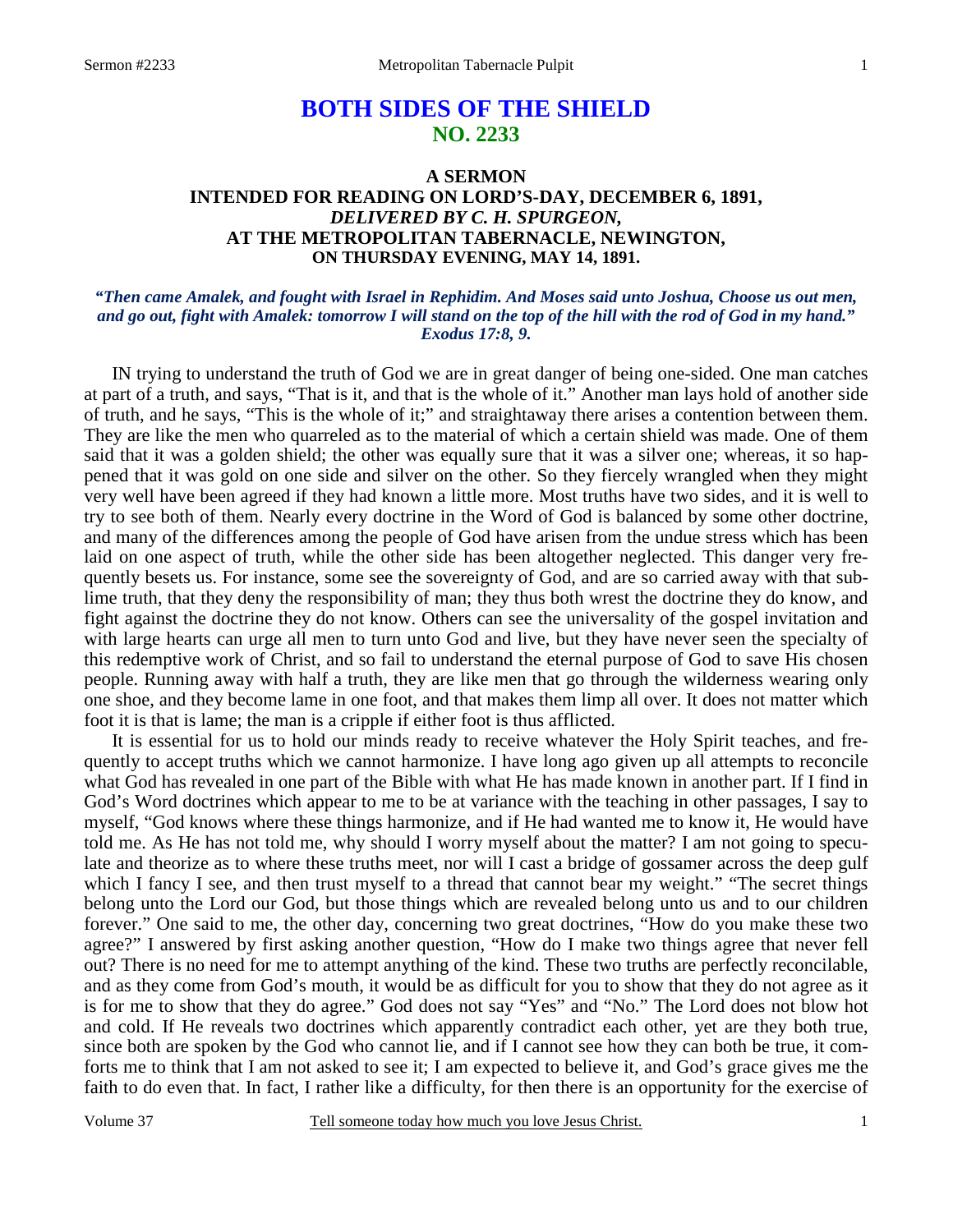# **BOTH SIDES OF THE SHIELD NO. 2233**

## **A SERMON INTENDED FOR READING ON LORD'S-DAY, DECEMBER 6, 1891,**  *DELIVERED BY C. H. SPURGEON,*  **AT THE METROPOLITAN TABERNACLE, NEWINGTON, ON THURSDAY EVENING, MAY 14, 1891.**

#### *"Then came Amalek, and fought with Israel in Rephidim. And Moses said unto Joshua, Choose us out men, and go out, fight with Amalek: tomorrow I will stand on the top of the hill with the rod of God in my hand." Exodus 17:8, 9.*

IN trying to understand the truth of God we are in great danger of being one-sided. One man catches at part of a truth, and says, "That is it, and that is the whole of it." Another man lays hold of another side of truth, and he says, "This is the whole of it;" and straightaway there arises a contention between them. They are like the men who quarreled as to the material of which a certain shield was made. One of them said that it was a golden shield; the other was equally sure that it was a silver one; whereas, it so happened that it was gold on one side and silver on the other. So they fiercely wrangled when they might very well have been agreed if they had known a little more. Most truths have two sides, and it is well to try to see both of them. Nearly every doctrine in the Word of God is balanced by some other doctrine, and many of the differences among the people of God have arisen from the undue stress which has been laid on one aspect of truth, while the other side has been altogether neglected. This danger very frequently besets us. For instance, some see the sovereignty of God, and are so carried away with that sublime truth, that they deny the responsibility of man; they thus both wrest the doctrine they do know, and fight against the doctrine they do not know. Others can see the universality of the gospel invitation and with large hearts can urge all men to turn unto God and live, but they have never seen the specialty of this redemptive work of Christ, and so fail to understand the eternal purpose of God to save His chosen people. Running away with half a truth, they are like men that go through the wilderness wearing only one shoe, and they become lame in one foot, and that makes them limp all over. It does not matter which foot it is that is lame; the man is a cripple if either foot is thus afflicted.

 It is essential for us to hold our minds ready to receive whatever the Holy Spirit teaches, and frequently to accept truths which we cannot harmonize. I have long ago given up all attempts to reconcile what God has revealed in one part of the Bible with what He has made known in another part. If I find in God's Word doctrines which appear to me to be at variance with the teaching in other passages, I say to myself, "God knows where these things harmonize, and if He had wanted me to know it, He would have told me. As He has not told me, why should I worry myself about the matter? I am not going to speculate and theorize as to where these truths meet, nor will I cast a bridge of gossamer across the deep gulf which I fancy I see, and then trust myself to a thread that cannot bear my weight." "The secret things belong unto the Lord our God, but those things which are revealed belong unto us and to our children forever." One said to me, the other day, concerning two great doctrines, "How do you make these two agree?" I answered by first asking another question, "How do I make two things agree that never fell out? There is no need for me to attempt anything of the kind. These two truths are perfectly reconcilable, and as they come from God's mouth, it would be as difficult for you to show that they do not agree as it is for me to show that they do agree." God does not say "Yes" and "No." The Lord does not blow hot and cold. If He reveals two doctrines which apparently contradict each other, yet are they both true, since both are spoken by the God who cannot lie, and if I cannot see how they can both be true, it comforts me to think that I am not asked to see it; I am expected to believe it, and God's grace gives me the faith to do even that. In fact, I rather like a difficulty, for then there is an opportunity for the exercise of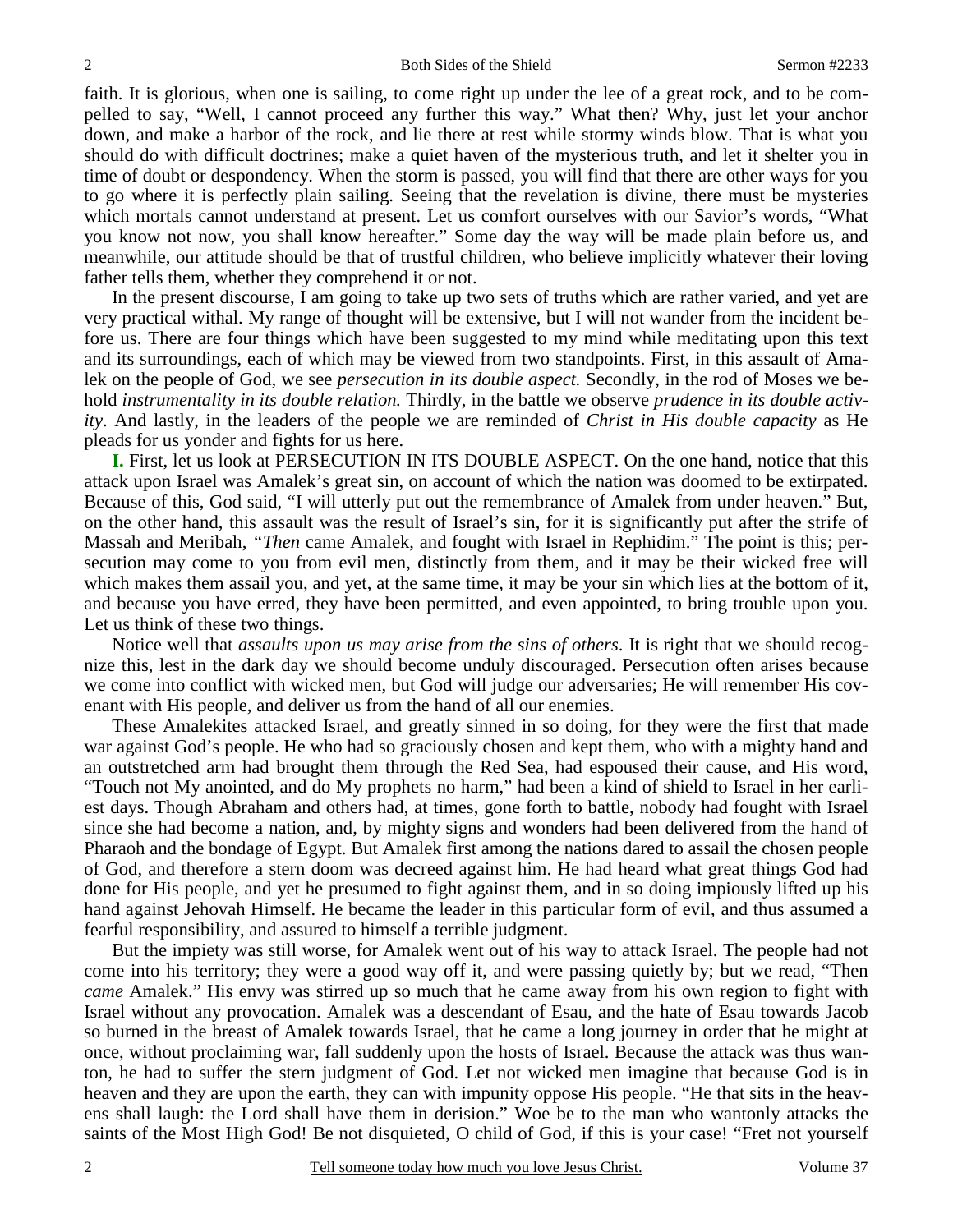faith. It is glorious, when one is sailing, to come right up under the lee of a great rock, and to be compelled to say, "Well, I cannot proceed any further this way." What then? Why, just let your anchor down, and make a harbor of the rock, and lie there at rest while stormy winds blow. That is what you should do with difficult doctrines; make a quiet haven of the mysterious truth, and let it shelter you in time of doubt or despondency. When the storm is passed, you will find that there are other ways for you to go where it is perfectly plain sailing. Seeing that the revelation is divine, there must be mysteries which mortals cannot understand at present. Let us comfort ourselves with our Savior's words, "What you know not now, you shall know hereafter." Some day the way will be made plain before us, and meanwhile, our attitude should be that of trustful children, who believe implicitly whatever their loving father tells them, whether they comprehend it or not.

 In the present discourse, I am going to take up two sets of truths which are rather varied, and yet are very practical withal. My range of thought will be extensive, but I will not wander from the incident before us. There are four things which have been suggested to my mind while meditating upon this text and its surroundings, each of which may be viewed from two standpoints. First, in this assault of Amalek on the people of God, we see *persecution in its double aspect.* Secondly, in the rod of Moses we behold *instrumentality in its double relation.* Thirdly, in the battle we observe *prudence in its double activity*. And lastly, in the leaders of the people we are reminded of *Christ in His double capacity* as He pleads for us yonder and fights for us here.

**I.** First, let us look at PERSECUTION IN ITS DOUBLE ASPECT. On the one hand, notice that this attack upon Israel was Amalek's great sin, on account of which the nation was doomed to be extirpated. Because of this, God said, "I will utterly put out the remembrance of Amalek from under heaven." But, on the other hand, this assault was the result of Israel's sin, for it is significantly put after the strife of Massah and Meribah, *"Then* came Amalek, and fought with Israel in Rephidim." The point is this; persecution may come to you from evil men, distinctly from them, and it may be their wicked free will which makes them assail you, and yet, at the same time, it may be your sin which lies at the bottom of it, and because you have erred, they have been permitted, and even appointed, to bring trouble upon you. Let us think of these two things.

 Notice well that *assaults upon us may arise from the sins of others*. It is right that we should recognize this, lest in the dark day we should become unduly discouraged. Persecution often arises because we come into conflict with wicked men, but God will judge our adversaries; He will remember His covenant with His people, and deliver us from the hand of all our enemies.

 These Amalekites attacked Israel, and greatly sinned in so doing, for they were the first that made war against God's people. He who had so graciously chosen and kept them, who with a mighty hand and an outstretched arm had brought them through the Red Sea, had espoused their cause, and His word, "Touch not My anointed, and do My prophets no harm," had been a kind of shield to Israel in her earliest days. Though Abraham and others had, at times, gone forth to battle, nobody had fought with Israel since she had become a nation, and, by mighty signs and wonders had been delivered from the hand of Pharaoh and the bondage of Egypt. But Amalek first among the nations dared to assail the chosen people of God, and therefore a stern doom was decreed against him. He had heard what great things God had done for His people, and yet he presumed to fight against them, and in so doing impiously lifted up his hand against Jehovah Himself. He became the leader in this particular form of evil, and thus assumed a fearful responsibility, and assured to himself a terrible judgment.

 But the impiety was still worse, for Amalek went out of his way to attack Israel. The people had not come into his territory; they were a good way off it, and were passing quietly by; but we read, "Then *came* Amalek." His envy was stirred up so much that he came away from his own region to fight with Israel without any provocation. Amalek was a descendant of Esau, and the hate of Esau towards Jacob so burned in the breast of Amalek towards Israel, that he came a long journey in order that he might at once, without proclaiming war, fall suddenly upon the hosts of Israel. Because the attack was thus wanton, he had to suffer the stern judgment of God. Let not wicked men imagine that because God is in heaven and they are upon the earth, they can with impunity oppose His people. "He that sits in the heavens shall laugh: the Lord shall have them in derision." Woe be to the man who wantonly attacks the saints of the Most High God! Be not disquieted, O child of God, if this is your case! "Fret not yourself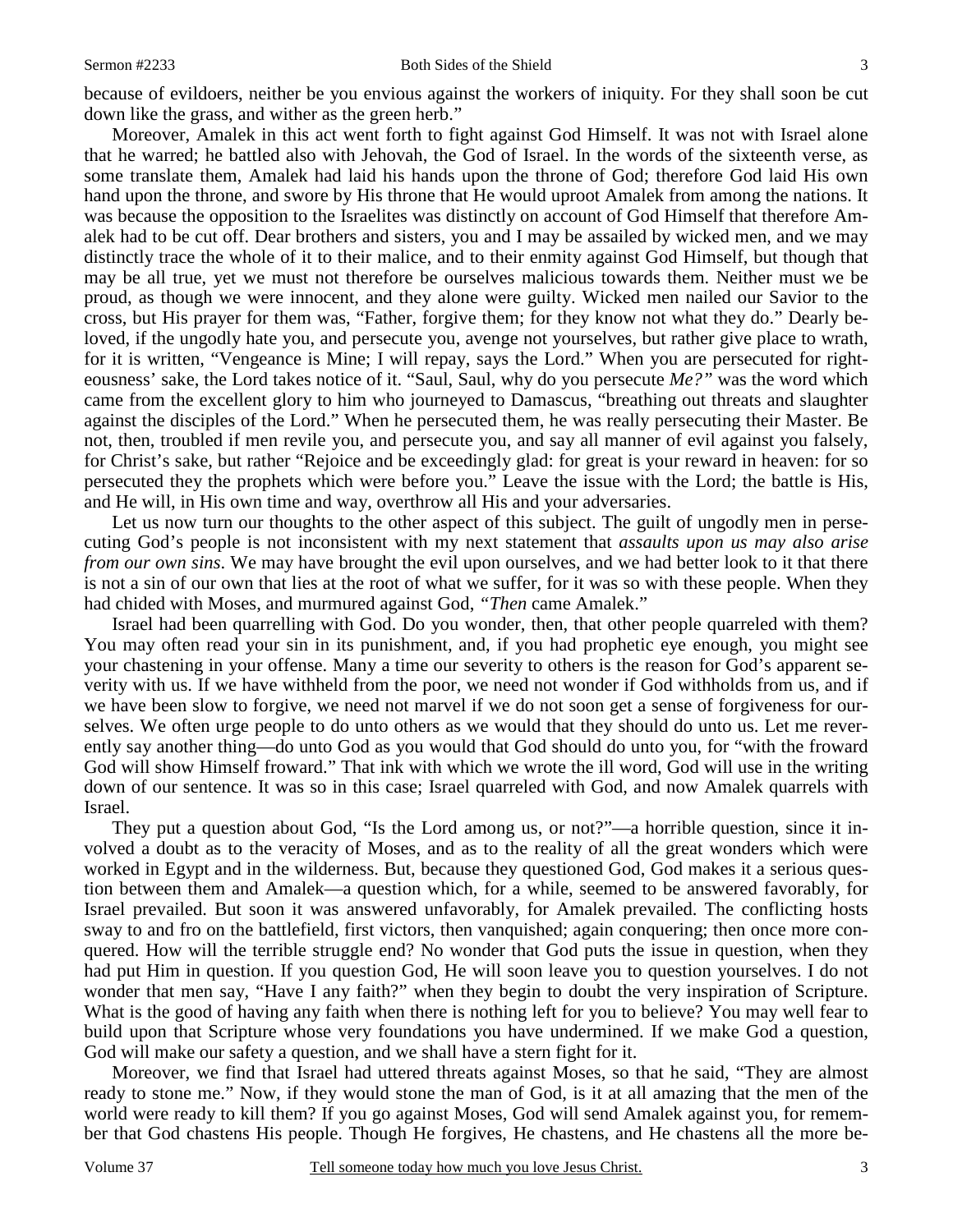because of evildoers, neither be you envious against the workers of iniquity. For they shall soon be cut down like the grass, and wither as the green herb."

 Moreover, Amalek in this act went forth to fight against God Himself. It was not with Israel alone that he warred; he battled also with Jehovah, the God of Israel. In the words of the sixteenth verse, as some translate them, Amalek had laid his hands upon the throne of God; therefore God laid His own hand upon the throne, and swore by His throne that He would uproot Amalek from among the nations. It was because the opposition to the Israelites was distinctly on account of God Himself that therefore Amalek had to be cut off. Dear brothers and sisters, you and I may be assailed by wicked men, and we may distinctly trace the whole of it to their malice, and to their enmity against God Himself, but though that may be all true, yet we must not therefore be ourselves malicious towards them. Neither must we be proud, as though we were innocent, and they alone were guilty. Wicked men nailed our Savior to the cross, but His prayer for them was, "Father, forgive them; for they know not what they do." Dearly beloved, if the ungodly hate you, and persecute you, avenge not yourselves, but rather give place to wrath, for it is written, "Vengeance is Mine; I will repay, says the Lord." When you are persecuted for righteousness' sake, the Lord takes notice of it. "Saul, Saul, why do you persecute *Me?"* was the word which came from the excellent glory to him who journeyed to Damascus, "breathing out threats and slaughter against the disciples of the Lord." When he persecuted them, he was really persecuting their Master. Be not, then, troubled if men revile you, and persecute you, and say all manner of evil against you falsely, for Christ's sake, but rather "Rejoice and be exceedingly glad: for great is your reward in heaven: for so persecuted they the prophets which were before you." Leave the issue with the Lord; the battle is His, and He will, in His own time and way, overthrow all His and your adversaries.

Let us now turn our thoughts to the other aspect of this subject. The guilt of ungodly men in persecuting God's people is not inconsistent with my next statement that *assaults upon us may also arise from our own sins*. We may have brought the evil upon ourselves, and we had better look to it that there is not a sin of our own that lies at the root of what we suffer, for it was so with these people. When they had chided with Moses, and murmured against God, *"Then* came Amalek."

 Israel had been quarrelling with God. Do you wonder, then, that other people quarreled with them? You may often read your sin in its punishment, and, if you had prophetic eye enough, you might see your chastening in your offense. Many a time our severity to others is the reason for God's apparent severity with us. If we have withheld from the poor, we need not wonder if God withholds from us, and if we have been slow to forgive, we need not marvel if we do not soon get a sense of forgiveness for ourselves. We often urge people to do unto others as we would that they should do unto us. Let me reverently say another thing—do unto God as you would that God should do unto you, for "with the froward God will show Himself froward." That ink with which we wrote the ill word, God will use in the writing down of our sentence. It was so in this case; Israel quarreled with God, and now Amalek quarrels with Israel.

 They put a question about God, "Is the Lord among us, or not?"—a horrible question, since it involved a doubt as to the veracity of Moses, and as to the reality of all the great wonders which were worked in Egypt and in the wilderness. But, because they questioned God, God makes it a serious question between them and Amalek—a question which, for a while, seemed to be answered favorably, for Israel prevailed. But soon it was answered unfavorably, for Amalek prevailed. The conflicting hosts sway to and fro on the battlefield, first victors, then vanquished; again conquering; then once more conquered. How will the terrible struggle end? No wonder that God puts the issue in question, when they had put Him in question. If you question God, He will soon leave you to question yourselves. I do not wonder that men say, "Have I any faith?" when they begin to doubt the very inspiration of Scripture. What is the good of having any faith when there is nothing left for you to believe? You may well fear to build upon that Scripture whose very foundations you have undermined. If we make God a question, God will make our safety a question, and we shall have a stern fight for it.

 Moreover, we find that Israel had uttered threats against Moses, so that he said, "They are almost ready to stone me." Now, if they would stone the man of God, is it at all amazing that the men of the world were ready to kill them? If you go against Moses, God will send Amalek against you, for remember that God chastens His people. Though He forgives, He chastens, and He chastens all the more be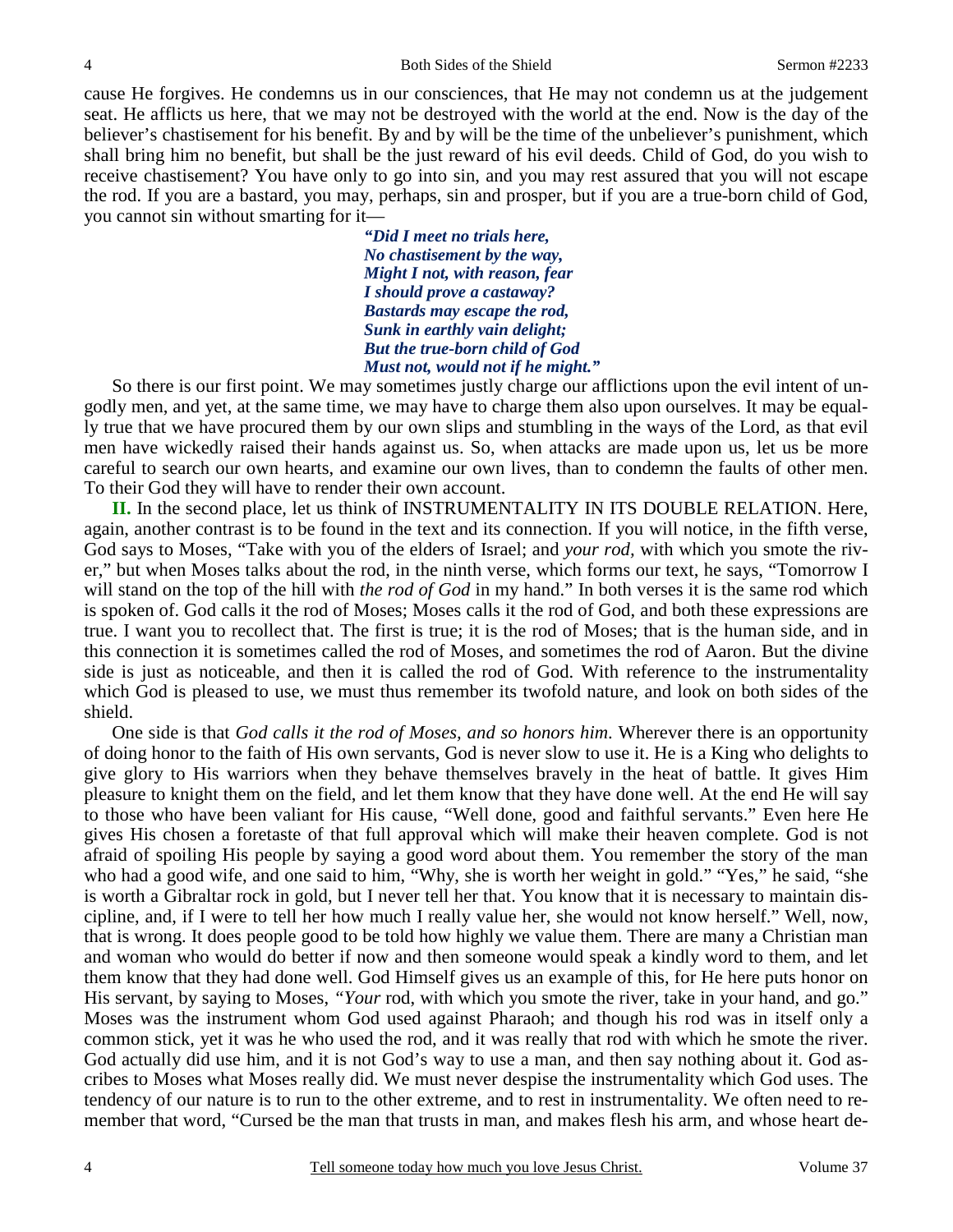cause He forgives. He condemns us in our consciences, that He may not condemn us at the judgement seat. He afflicts us here, that we may not be destroyed with the world at the end. Now is the day of the believer's chastisement for his benefit. By and by will be the time of the unbeliever's punishment, which shall bring him no benefit, but shall be the just reward of his evil deeds. Child of God, do you wish to receive chastisement? You have only to go into sin, and you may rest assured that you will not escape the rod. If you are a bastard, you may, perhaps, sin and prosper, but if you are a true-born child of God, you cannot sin without smarting for it—

> *"Did I meet no trials here, No chastisement by the way, Might I not, with reason, fear I should prove a castaway? Bastards may escape the rod, Sunk in earthly vain delight; But the true-born child of God Must not, would not if he might."*

So there is our first point. We may sometimes justly charge our afflictions upon the evil intent of ungodly men, and yet, at the same time, we may have to charge them also upon ourselves. It may be equally true that we have procured them by our own slips and stumbling in the ways of the Lord, as that evil men have wickedly raised their hands against us. So, when attacks are made upon us, let us be more careful to search our own hearts, and examine our own lives, than to condemn the faults of other men. To their God they will have to render their own account.

**II.** In the second place, let us think of INSTRUMENTALITY IN ITS DOUBLE RELATION. Here, again, another contrast is to be found in the text and its connection. If you will notice, in the fifth verse, God says to Moses, "Take with you of the elders of Israel; and *your rod,* with which you smote the river," but when Moses talks about the rod, in the ninth verse, which forms our text, he says, "Tomorrow I will stand on the top of the hill with *the rod of God* in my hand." In both verses it is the same rod which is spoken of. God calls it the rod of Moses; Moses calls it the rod of God, and both these expressions are true. I want you to recollect that. The first is true; it is the rod of Moses; that is the human side, and in this connection it is sometimes called the rod of Moses, and sometimes the rod of Aaron. But the divine side is just as noticeable, and then it is called the rod of God. With reference to the instrumentality which God is pleased to use, we must thus remember its twofold nature, and look on both sides of the shield.

 One side is that *God calls it the rod of Moses, and so honors him*. Wherever there is an opportunity of doing honor to the faith of His own servants, God is never slow to use it. He is a King who delights to give glory to His warriors when they behave themselves bravely in the heat of battle. It gives Him pleasure to knight them on the field, and let them know that they have done well. At the end He will say to those who have been valiant for His cause, "Well done, good and faithful servants." Even here He gives His chosen a foretaste of that full approval which will make their heaven complete. God is not afraid of spoiling His people by saying a good word about them. You remember the story of the man who had a good wife, and one said to him, "Why, she is worth her weight in gold." "Yes," he said, "she is worth a Gibraltar rock in gold, but I never tell her that. You know that it is necessary to maintain discipline, and, if I were to tell her how much I really value her, she would not know herself." Well, now, that is wrong. It does people good to be told how highly we value them. There are many a Christian man and woman who would do better if now and then someone would speak a kindly word to them, and let them know that they had done well. God Himself gives us an example of this, for He here puts honor on His servant, by saying to Moses, *"Your* rod, with which you smote the river, take in your hand, and go." Moses was the instrument whom God used against Pharaoh; and though his rod was in itself only a common stick, yet it was he who used the rod, and it was really that rod with which he smote the river. God actually did use him, and it is not God's way to use a man, and then say nothing about it. God ascribes to Moses what Moses really did. We must never despise the instrumentality which God uses. The tendency of our nature is to run to the other extreme, and to rest in instrumentality. We often need to remember that word, "Cursed be the man that trusts in man, and makes flesh his arm, and whose heart de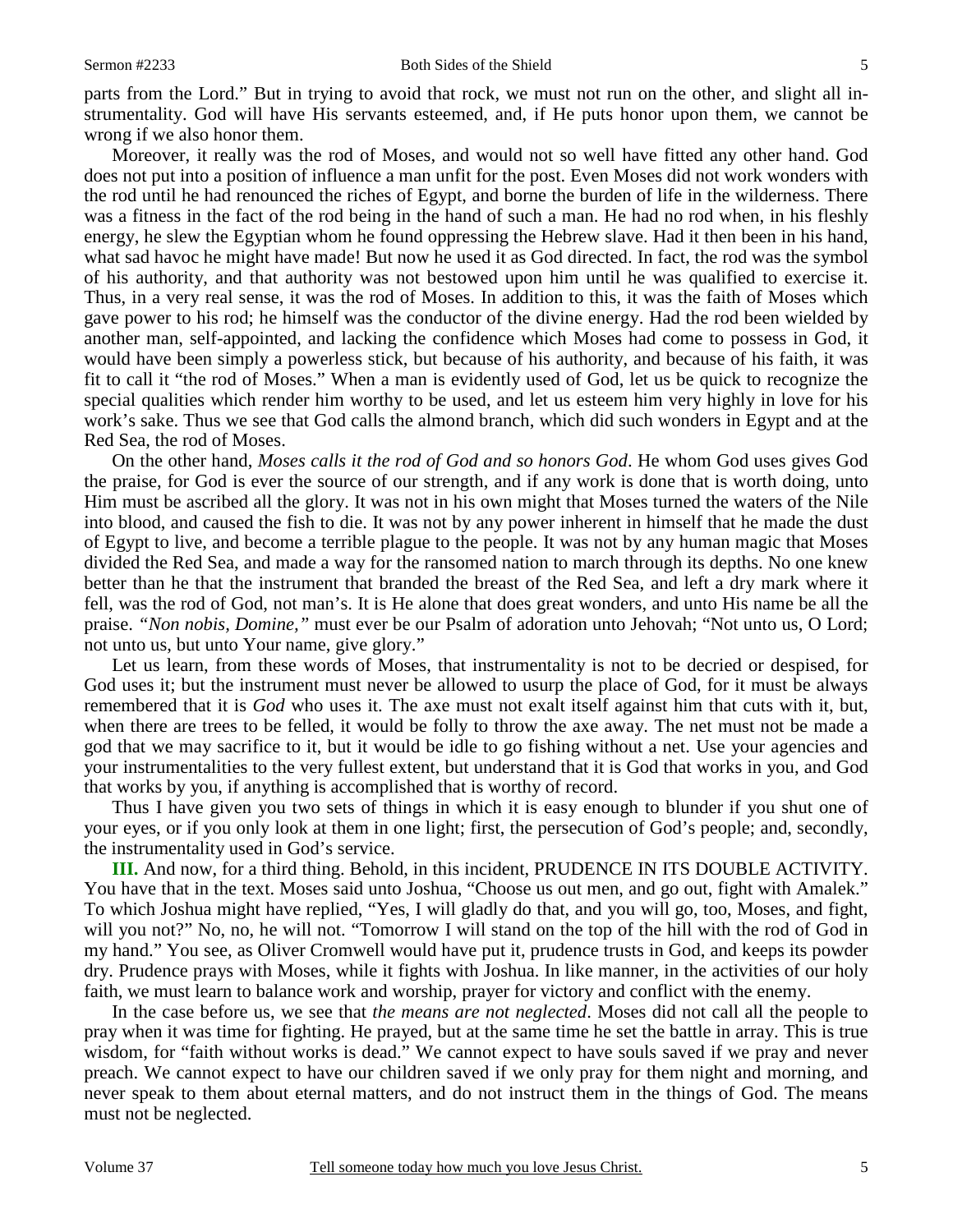parts from the Lord." But in trying to avoid that rock, we must not run on the other, and slight all instrumentality. God will have His servants esteemed, and, if He puts honor upon them, we cannot be wrong if we also honor them.

 Moreover, it really was the rod of Moses, and would not so well have fitted any other hand. God does not put into a position of influence a man unfit for the post. Even Moses did not work wonders with the rod until he had renounced the riches of Egypt, and borne the burden of life in the wilderness. There was a fitness in the fact of the rod being in the hand of such a man. He had no rod when, in his fleshly energy, he slew the Egyptian whom he found oppressing the Hebrew slave. Had it then been in his hand, what sad havoc he might have made! But now he used it as God directed. In fact, the rod was the symbol of his authority, and that authority was not bestowed upon him until he was qualified to exercise it. Thus, in a very real sense, it was the rod of Moses. In addition to this, it was the faith of Moses which gave power to his rod; he himself was the conductor of the divine energy. Had the rod been wielded by another man, self-appointed, and lacking the confidence which Moses had come to possess in God, it would have been simply a powerless stick, but because of his authority, and because of his faith, it was fit to call it "the rod of Moses." When a man is evidently used of God, let us be quick to recognize the special qualities which render him worthy to be used, and let us esteem him very highly in love for his work's sake. Thus we see that God calls the almond branch, which did such wonders in Egypt and at the Red Sea, the rod of Moses.

 On the other hand, *Moses calls it the rod of God and so honors God*. He whom God uses gives God the praise, for God is ever the source of our strength, and if any work is done that is worth doing, unto Him must be ascribed all the glory. It was not in his own might that Moses turned the waters of the Nile into blood, and caused the fish to die. It was not by any power inherent in himself that he made the dust of Egypt to live, and become a terrible plague to the people. It was not by any human magic that Moses divided the Red Sea, and made a way for the ransomed nation to march through its depths. No one knew better than he that the instrument that branded the breast of the Red Sea, and left a dry mark where it fell, was the rod of God, not man's. It is He alone that does great wonders, and unto His name be all the praise. *"Non nobis, Domine,"* must ever be our Psalm of adoration unto Jehovah; "Not unto us, O Lord; not unto us, but unto Your name, give glory."

 Let us learn, from these words of Moses, that instrumentality is not to be decried or despised, for God uses it; but the instrument must never be allowed to usurp the place of God, for it must be always remembered that it is *God* who uses it. The axe must not exalt itself against him that cuts with it, but, when there are trees to be felled, it would be folly to throw the axe away. The net must not be made a god that we may sacrifice to it, but it would be idle to go fishing without a net. Use your agencies and your instrumentalities to the very fullest extent, but understand that it is God that works in you, and God that works by you, if anything is accomplished that is worthy of record.

 Thus I have given you two sets of things in which it is easy enough to blunder if you shut one of your eyes, or if you only look at them in one light; first, the persecution of God's people; and, secondly, the instrumentality used in God's service.

**III.** And now, for a third thing. Behold, in this incident, PRUDENCE IN ITS DOUBLE ACTIVITY. You have that in the text. Moses said unto Joshua, "Choose us out men, and go out, fight with Amalek." To which Joshua might have replied, "Yes, I will gladly do that, and you will go, too, Moses, and fight, will you not?" No, no, he will not. "Tomorrow I will stand on the top of the hill with the rod of God in my hand." You see, as Oliver Cromwell would have put it, prudence trusts in God, and keeps its powder dry. Prudence prays with Moses, while it fights with Joshua. In like manner, in the activities of our holy faith, we must learn to balance work and worship, prayer for victory and conflict with the enemy.

 In the case before us, we see that *the means are not neglected*. Moses did not call all the people to pray when it was time for fighting. He prayed, but at the same time he set the battle in array. This is true wisdom, for "faith without works is dead." We cannot expect to have souls saved if we pray and never preach. We cannot expect to have our children saved if we only pray for them night and morning, and never speak to them about eternal matters, and do not instruct them in the things of God. The means must not be neglected.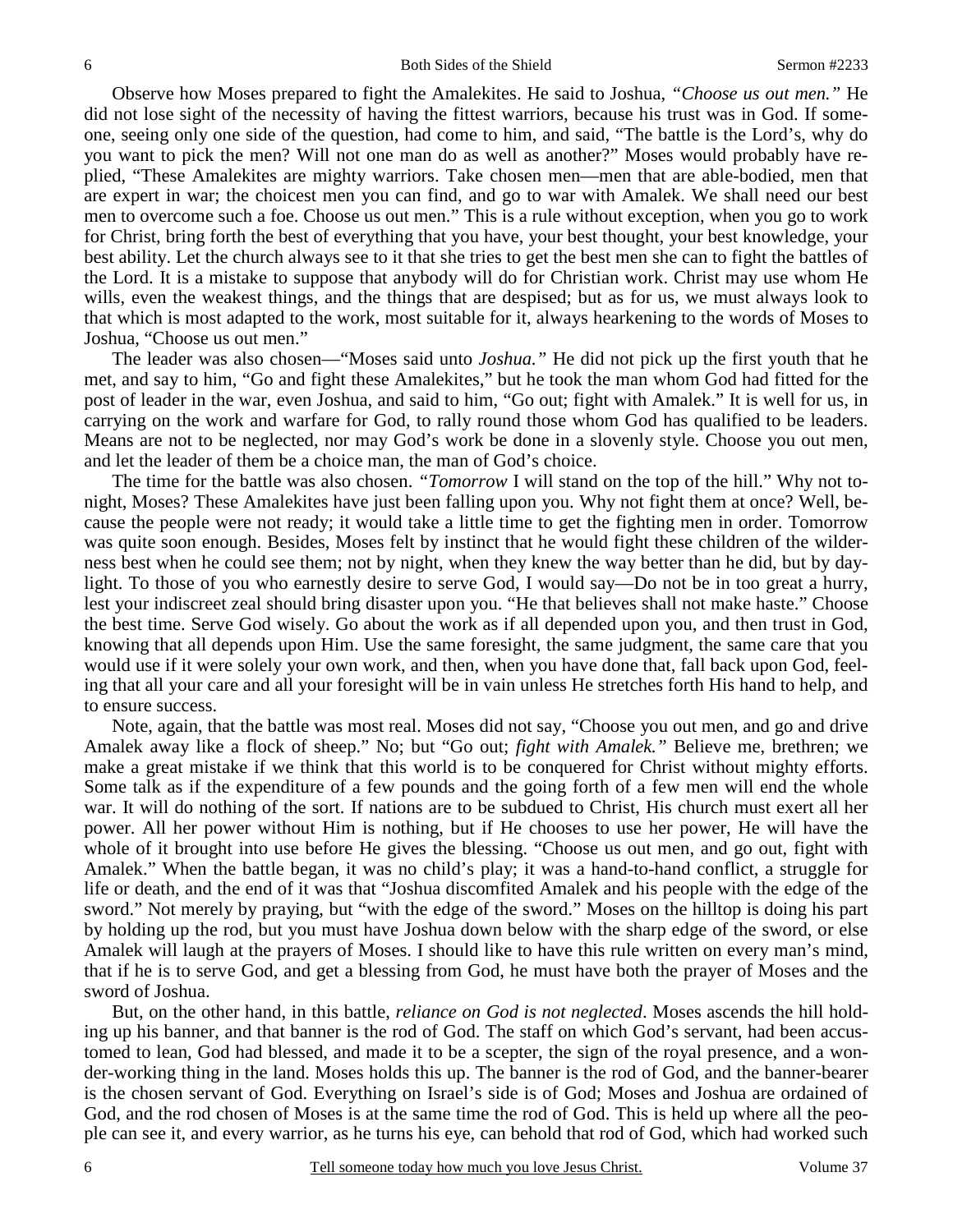Observe how Moses prepared to fight the Amalekites. He said to Joshua, *"Choose us out men."* He did not lose sight of the necessity of having the fittest warriors, because his trust was in God. If someone, seeing only one side of the question, had come to him, and said, "The battle is the Lord's, why do you want to pick the men? Will not one man do as well as another?" Moses would probably have replied, "These Amalekites are mighty warriors. Take chosen men—men that are able-bodied, men that are expert in war; the choicest men you can find, and go to war with Amalek. We shall need our best men to overcome such a foe. Choose us out men." This is a rule without exception, when you go to work for Christ, bring forth the best of everything that you have, your best thought, your best knowledge, your best ability. Let the church always see to it that she tries to get the best men she can to fight the battles of the Lord. It is a mistake to suppose that anybody will do for Christian work. Christ may use whom He wills, even the weakest things, and the things that are despised; but as for us, we must always look to that which is most adapted to the work, most suitable for it, always hearkening to the words of Moses to Joshua, "Choose us out men."

 The leader was also chosen—"Moses said unto *Joshua."* He did not pick up the first youth that he met, and say to him, "Go and fight these Amalekites," but he took the man whom God had fitted for the post of leader in the war, even Joshua, and said to him, "Go out; fight with Amalek." It is well for us, in carrying on the work and warfare for God, to rally round those whom God has qualified to be leaders. Means are not to be neglected, nor may God's work be done in a slovenly style. Choose you out men, and let the leader of them be a choice man, the man of God's choice.

 The time for the battle was also chosen. *"Tomorrow* I will stand on the top of the hill." Why not tonight, Moses? These Amalekites have just been falling upon you. Why not fight them at once? Well, because the people were not ready; it would take a little time to get the fighting men in order. Tomorrow was quite soon enough. Besides, Moses felt by instinct that he would fight these children of the wilderness best when he could see them; not by night, when they knew the way better than he did, but by daylight. To those of you who earnestly desire to serve God, I would say—Do not be in too great a hurry, lest your indiscreet zeal should bring disaster upon you. "He that believes shall not make haste." Choose the best time. Serve God wisely. Go about the work as if all depended upon you, and then trust in God, knowing that all depends upon Him. Use the same foresight, the same judgment, the same care that you would use if it were solely your own work, and then, when you have done that, fall back upon God, feeling that all your care and all your foresight will be in vain unless He stretches forth His hand to help, and to ensure success.

 Note, again, that the battle was most real. Moses did not say, "Choose you out men, and go and drive Amalek away like a flock of sheep." No; but "Go out; *fight with Amalek."* Believe me, brethren; we make a great mistake if we think that this world is to be conquered for Christ without mighty efforts. Some talk as if the expenditure of a few pounds and the going forth of a few men will end the whole war. It will do nothing of the sort. If nations are to be subdued to Christ, His church must exert all her power. All her power without Him is nothing, but if He chooses to use her power, He will have the whole of it brought into use before He gives the blessing. "Choose us out men, and go out, fight with Amalek." When the battle began, it was no child's play; it was a hand-to-hand conflict, a struggle for life or death, and the end of it was that "Joshua discomfited Amalek and his people with the edge of the sword." Not merely by praying, but "with the edge of the sword." Moses on the hilltop is doing his part by holding up the rod, but you must have Joshua down below with the sharp edge of the sword, or else Amalek will laugh at the prayers of Moses. I should like to have this rule written on every man's mind, that if he is to serve God, and get a blessing from God, he must have both the prayer of Moses and the sword of Joshua.

 But, on the other hand, in this battle, *reliance on God is not neglected*. Moses ascends the hill holding up his banner, and that banner is the rod of God. The staff on which God's servant, had been accustomed to lean, God had blessed, and made it to be a scepter, the sign of the royal presence, and a wonder-working thing in the land. Moses holds this up. The banner is the rod of God, and the banner-bearer is the chosen servant of God. Everything on Israel's side is of God; Moses and Joshua are ordained of God, and the rod chosen of Moses is at the same time the rod of God. This is held up where all the people can see it, and every warrior, as he turns his eye, can behold that rod of God, which had worked such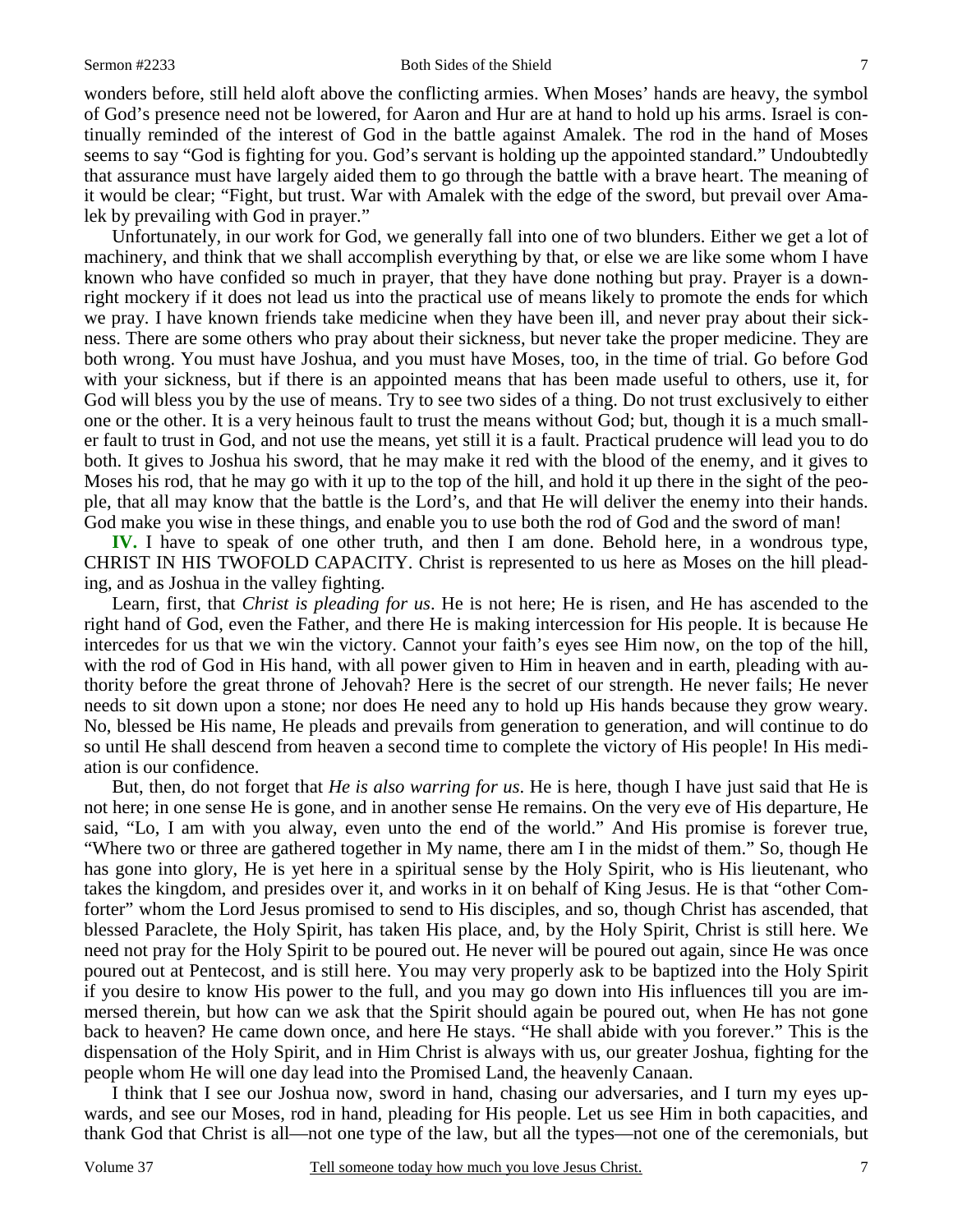wonders before, still held aloft above the conflicting armies. When Moses' hands are heavy, the symbol of God's presence need not be lowered, for Aaron and Hur are at hand to hold up his arms. Israel is continually reminded of the interest of God in the battle against Amalek. The rod in the hand of Moses seems to say "God is fighting for you. God's servant is holding up the appointed standard." Undoubtedly that assurance must have largely aided them to go through the battle with a brave heart. The meaning of it would be clear; "Fight, but trust. War with Amalek with the edge of the sword, but prevail over Amalek by prevailing with God in prayer."

 Unfortunately, in our work for God, we generally fall into one of two blunders. Either we get a lot of machinery, and think that we shall accomplish everything by that, or else we are like some whom I have known who have confided so much in prayer, that they have done nothing but pray. Prayer is a downright mockery if it does not lead us into the practical use of means likely to promote the ends for which we pray. I have known friends take medicine when they have been ill, and never pray about their sickness. There are some others who pray about their sickness, but never take the proper medicine. They are both wrong. You must have Joshua, and you must have Moses, too, in the time of trial. Go before God with your sickness, but if there is an appointed means that has been made useful to others, use it, for God will bless you by the use of means. Try to see two sides of a thing. Do not trust exclusively to either one or the other. It is a very heinous fault to trust the means without God; but, though it is a much smaller fault to trust in God, and not use the means, yet still it is a fault. Practical prudence will lead you to do both. It gives to Joshua his sword, that he may make it red with the blood of the enemy, and it gives to Moses his rod, that he may go with it up to the top of the hill, and hold it up there in the sight of the people, that all may know that the battle is the Lord's, and that He will deliver the enemy into their hands. God make you wise in these things, and enable you to use both the rod of God and the sword of man!

**IV.** I have to speak of one other truth, and then I am done. Behold here, in a wondrous type, CHRIST IN HIS TWOFOLD CAPACITY. Christ is represented to us here as Moses on the hill pleading, and as Joshua in the valley fighting.

 Learn, first, that *Christ is pleading for us*. He is not here; He is risen, and He has ascended to the right hand of God, even the Father, and there He is making intercession for His people. It is because He intercedes for us that we win the victory. Cannot your faith's eyes see Him now, on the top of the hill, with the rod of God in His hand, with all power given to Him in heaven and in earth, pleading with authority before the great throne of Jehovah? Here is the secret of our strength. He never fails; He never needs to sit down upon a stone; nor does He need any to hold up His hands because they grow weary. No, blessed be His name, He pleads and prevails from generation to generation, and will continue to do so until He shall descend from heaven a second time to complete the victory of His people! In His mediation is our confidence.

 But, then, do not forget that *He is also warring for us*. He is here, though I have just said that He is not here; in one sense He is gone, and in another sense He remains. On the very eve of His departure, He said, "Lo, I am with you alway, even unto the end of the world." And His promise is forever true, "Where two or three are gathered together in My name, there am I in the midst of them." So, though He has gone into glory, He is yet here in a spiritual sense by the Holy Spirit, who is His lieutenant, who takes the kingdom, and presides over it, and works in it on behalf of King Jesus. He is that "other Comforter" whom the Lord Jesus promised to send to His disciples, and so, though Christ has ascended, that blessed Paraclete, the Holy Spirit, has taken His place, and, by the Holy Spirit, Christ is still here. We need not pray for the Holy Spirit to be poured out. He never will be poured out again, since He was once poured out at Pentecost, and is still here. You may very properly ask to be baptized into the Holy Spirit if you desire to know His power to the full, and you may go down into His influences till you are immersed therein, but how can we ask that the Spirit should again be poured out, when He has not gone back to heaven? He came down once, and here He stays. "He shall abide with you forever." This is the dispensation of the Holy Spirit, and in Him Christ is always with us, our greater Joshua, fighting for the people whom He will one day lead into the Promised Land, the heavenly Canaan.

 I think that I see our Joshua now, sword in hand, chasing our adversaries, and I turn my eyes upwards, and see our Moses, rod in hand, pleading for His people. Let us see Him in both capacities, and thank God that Christ is all—not one type of the law, but all the types—not one of the ceremonials, but